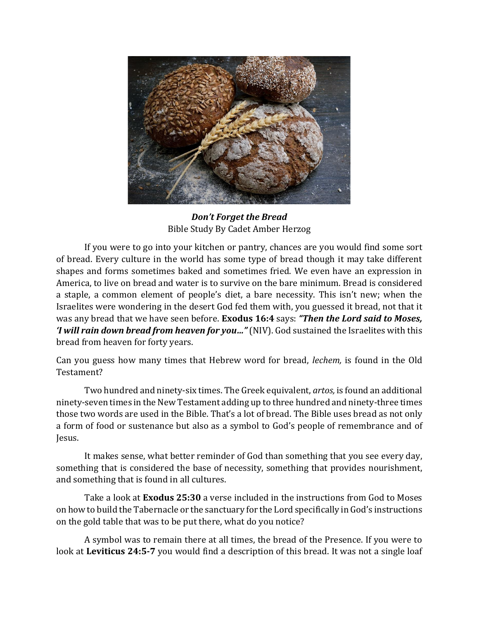

*Don't Forget the Bread* Bible Study By Cadet Amber Herzog

If you were to go into your kitchen or pantry, chances are you would find some sort of bread. Every culture in the world has some type of bread though it may take different shapes and forms sometimes baked and sometimes fried. We even have an expression in America, to live on bread and water is to survive on the bare minimum. Bread is considered a staple, a common element of people's diet, a bare necessity. This isn't new; when the Israelites were wondering in the desert God fed them with, you guessed it bread, not that it was any bread that we have seen before. **Exodus 16:4** says: *"Then the Lord said to Moses, 'I will rain down bread from heaven for you…"* (NIV). God sustained the Israelites with this bread from heaven for forty years.

Can you guess how many times that Hebrew word for bread, *lechem,* is found in the Old Testament?

Two hundred and ninety-six times. The Greek equivalent, *artos,* is found an additional ninety-seven times in the New Testament adding up to three hundred and ninety-three times those two words are used in the Bible. That's a lot of bread. The Bible uses bread as not only a form of food or sustenance but also as a symbol to God's people of remembrance and of Jesus.

It makes sense, what better reminder of God than something that you see every day, something that is considered the base of necessity, something that provides nourishment, and something that is found in all cultures.

Take a look at **Exodus 25:30** a verse included in the instructions from God to Moses on how to build the Tabernacle or the sanctuary for the Lord specifically in God's instructions on the gold table that was to be put there, what do you notice?

A symbol was to remain there at all times, the bread of the Presence. If you were to look at **Leviticus 24:5-7** you would find a description of this bread. It was not a single loaf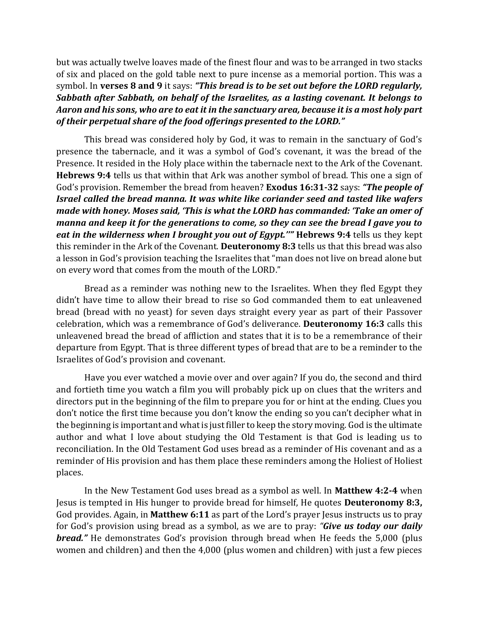but was actually twelve loaves made of the finest flour and was to be arranged in two stacks of six and placed on the gold table next to pure incense as a memorial portion. This was a symbol. In **verses 8 and 9** it says: *"This bread is to be set out before the LORD regularly, Sabbath after Sabbath, on behalf of the Israelites, as a lasting covenant. It belongs to Aaron and his sons, who are to eat it in the sanctuary area, because it is a most holy part of their perpetual share of the food offerings presented to the LORD."*

This bread was considered holy by God, it was to remain in the sanctuary of God's presence the tabernacle, and it was a symbol of God's covenant, it was the bread of the Presence. It resided in the Holy place within the tabernacle next to the Ark of the Covenant. **Hebrews 9:4** tells us that within that Ark was another symbol of bread. This one a sign of God's provision. Remember the bread from heaven? **Exodus 16:31-32** says: *"The people of Israel called the bread manna. It was white like coriander seed and tasted like wafers made with honey. Moses said, 'This is what the LORD has commanded: 'Take an omer of manna and keep it for the generations to come, so they can see the bread I gave you to eat in the wilderness when I brought you out of Egypt.''"* **Hebrews 9:4** tells us they kept this reminder in the Ark of the Covenant. **Deuteronomy 8:3** tells us that this bread was also a lesson in God's provision teaching the Israelites that "man does not live on bread alone but on every word that comes from the mouth of the LORD."

Bread as a reminder was nothing new to the Israelites. When they fled Egypt they didn't have time to allow their bread to rise so God commanded them to eat unleavened bread (bread with no yeast) for seven days straight every year as part of their Passover celebration, which was a remembrance of God's deliverance. **Deuteronomy 16:3** calls this unleavened bread the bread of affliction and states that it is to be a remembrance of their departure from Egypt. That is three different types of bread that are to be a reminder to the Israelites of God's provision and covenant.

Have you ever watched a movie over and over again? If you do, the second and third and fortieth time you watch a film you will probably pick up on clues that the writers and directors put in the beginning of the film to prepare you for or hint at the ending. Clues you don't notice the first time because you don't know the ending so you can't decipher what in the beginning is important and what is just filler to keep the story moving. God is the ultimate author and what I love about studying the Old Testament is that God is leading us to reconciliation. In the Old Testament God uses bread as a reminder of His covenant and as a reminder of His provision and has them place these reminders among the Holiest of Holiest places.

In the New Testament God uses bread as a symbol as well. In **Matthew 4:2-4** when Jesus is tempted in His hunger to provide bread for himself, He quotes **Deuteronomy 8:3,** God provides. Again, in **Matthew 6:11** as part of the Lord's prayer Jesus instructs us to pray for God's provision using bread as a symbol, as we are to pray: *"Give us today our daily bread."* He demonstrates God's provision through bread when He feeds the 5,000 (plus women and children) and then the 4,000 (plus women and children) with just a few pieces